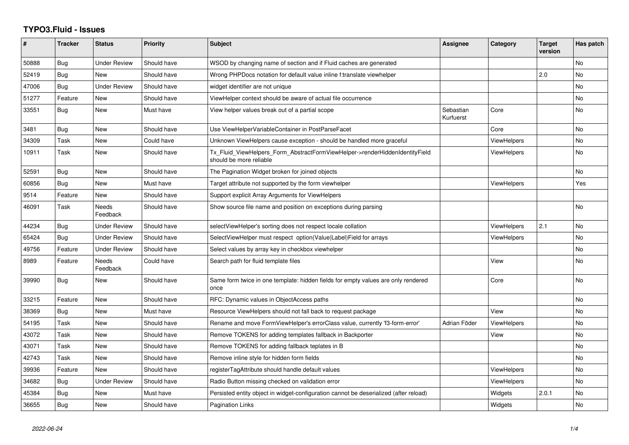## **TYPO3.Fluid - Issues**

| #     | <b>Tracker</b> | <b>Status</b>            | <b>Priority</b> | <b>Subject</b>                                                                                         | Assignee               | Category           | <b>Target</b><br>version | Has patch |
|-------|----------------|--------------------------|-----------------|--------------------------------------------------------------------------------------------------------|------------------------|--------------------|--------------------------|-----------|
| 50888 | Bug            | <b>Under Review</b>      | Should have     | WSOD by changing name of section and if Fluid caches are generated                                     |                        |                    |                          | No        |
| 52419 | Bug            | <b>New</b>               | Should have     | Wrong PHPDocs notation for default value inline f:translate viewhelper                                 |                        |                    | 2.0                      | <b>No</b> |
| 47006 | <b>Bug</b>     | <b>Under Review</b>      | Should have     | widget identifier are not unique                                                                       |                        |                    |                          | <b>No</b> |
| 51277 | Feature        | <b>New</b>               | Should have     | ViewHelper context should be aware of actual file occurrence                                           |                        |                    |                          | <b>No</b> |
| 33551 | Bug            | New                      | Must have       | View helper values break out of a partial scope                                                        | Sebastian<br>Kurfuerst | Core               |                          | No        |
| 3481  | Bug            | <b>New</b>               | Should have     | Use ViewHelperVariableContainer in PostParseFacet                                                      |                        | Core               |                          | <b>No</b> |
| 34309 | Task           | New                      | Could have      | Unknown ViewHelpers cause exception - should be handled more graceful                                  |                        | <b>ViewHelpers</b> |                          | <b>No</b> |
| 10911 | Task           | New                      | Should have     | Tx_Fluid_ViewHelpers_Form_AbstractFormViewHelper->renderHiddenIdentityField<br>should be more reliable |                        | <b>ViewHelpers</b> |                          | No        |
| 52591 | <b>Bug</b>     | New                      | Should have     | The Pagination Widget broken for joined objects                                                        |                        |                    |                          | <b>No</b> |
| 60856 | Bug            | <b>New</b>               | Must have       | Target attribute not supported by the form viewhelper                                                  |                        | <b>ViewHelpers</b> |                          | Yes       |
| 9514  | Feature        | New                      | Should have     | Support explicit Array Arguments for ViewHelpers                                                       |                        |                    |                          |           |
| 46091 | Task           | <b>Needs</b><br>Feedback | Should have     | Show source file name and position on exceptions during parsing                                        |                        |                    |                          | No        |
| 44234 | <b>Bug</b>     | <b>Under Review</b>      | Should have     | selectViewHelper's sorting does not respect locale collation                                           |                        | ViewHelpers        | 2.1                      | <b>No</b> |
| 65424 | Bug            | <b>Under Review</b>      | Should have     | SelectViewHelper must respect option(Value Label)Field for arrays                                      |                        | <b>ViewHelpers</b> |                          | <b>No</b> |
| 49756 | Feature        | <b>Under Review</b>      | Should have     | Select values by array key in checkbox viewhelper                                                      |                        |                    |                          | No        |
| 8989  | Feature        | Needs<br>Feedback        | Could have      | Search path for fluid template files                                                                   |                        | View               |                          | No        |
| 39990 | <b>Bug</b>     | <b>New</b>               | Should have     | Same form twice in one template: hidden fields for empty values are only rendered<br>once              |                        | Core               |                          | <b>No</b> |
| 33215 | Feature        | <b>New</b>               | Should have     | RFC: Dynamic values in ObjectAccess paths                                                              |                        |                    |                          | <b>No</b> |
| 38369 | Bug            | New                      | Must have       | Resource ViewHelpers should not fall back to request package                                           |                        | View               |                          | <b>No</b> |
| 54195 | Task           | New                      | Should have     | Rename and move FormViewHelper's errorClass value, currently 'f3-form-error'                           | Adrian Föder           | ViewHelpers        |                          | No        |
| 43072 | Task           | <b>New</b>               | Should have     | Remove TOKENS for adding templates fallback in Backporter                                              |                        | View               |                          | No        |
| 43071 | Task           | New                      | Should have     | Remove TOKENS for adding fallback teplates in B                                                        |                        |                    |                          | No        |
| 42743 | Task           | <b>New</b>               | Should have     | Remove inline style for hidden form fields                                                             |                        |                    |                          | No        |
| 39936 | Feature        | <b>New</b>               | Should have     | registerTagAttribute should handle default values                                                      |                        | ViewHelpers        |                          | No        |
| 34682 | Bug            | <b>Under Review</b>      | Should have     | Radio Button missing checked on validation error                                                       |                        | ViewHelpers        |                          | <b>No</b> |
| 45384 | Bug            | New                      | Must have       | Persisted entity object in widget-configuration cannot be deserialized (after reload)                  |                        | Widgets            | 2.0.1                    | <b>No</b> |
| 36655 | Bug            | <b>New</b>               | Should have     | Pagination Links                                                                                       |                        | Widgets            |                          | <b>No</b> |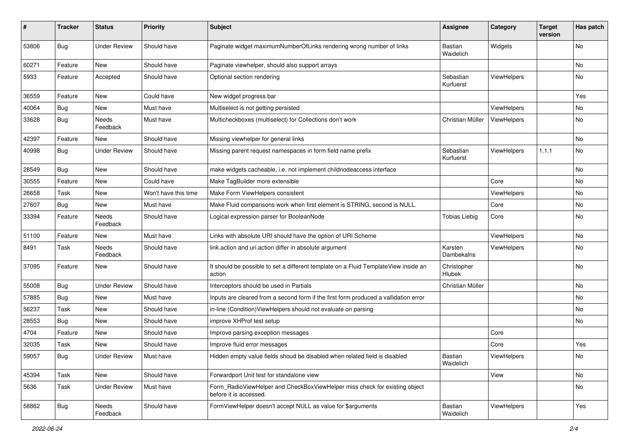| #     | <b>Tracker</b> | <b>Status</b>       | <b>Priority</b>      | <b>Subject</b>                                                                                       | <b>Assignee</b>              | Category           | <b>Target</b><br>version | Has patch |
|-------|----------------|---------------------|----------------------|------------------------------------------------------------------------------------------------------|------------------------------|--------------------|--------------------------|-----------|
| 53806 | Bug            | <b>Under Review</b> | Should have          | Paginate widget maximumNumberOfLinks rendering wrong number of links                                 | <b>Bastian</b><br>Waidelich  | Widgets            |                          | No        |
| 60271 | Feature        | New                 | Should have          | Paginate viewhelper, should also support arrays                                                      |                              |                    |                          | No        |
| 5933  | Feature        | Accepted            | Should have          | Optional section rendering                                                                           | Sebastian<br>Kurfuerst       | ViewHelpers        |                          | No        |
| 36559 | Feature        | New                 | Could have           | New widget progress bar                                                                              |                              |                    |                          | Yes       |
| 40064 | Bug            | New                 | Must have            | Multiselect is not getting persisted                                                                 |                              | ViewHelpers        |                          | No        |
| 33628 | Bug            | Needs<br>Feedback   | Must have            | Multicheckboxes (multiselect) for Collections don't work                                             | Christian Müller             | <b>ViewHelpers</b> |                          | No        |
| 42397 | Feature        | New                 | Should have          | Missing viewhelper for general links                                                                 |                              |                    |                          | No        |
| 40998 | Bug            | <b>Under Review</b> | Should have          | Missing parent request namespaces in form field name prefix                                          | Sebastian<br>Kurfuerst       | ViewHelpers        | 1.1.1                    | No        |
| 28549 | Bug            | New                 | Should have          | make widgets cacheable, i.e. not implement childnodeaccess interface                                 |                              |                    |                          | No        |
| 30555 | Feature        | New                 | Could have           | Make TagBuilder more extensible                                                                      |                              | Core               |                          | No        |
| 26658 | Task           | New                 | Won't have this time | Make Form ViewHelpers consistent                                                                     |                              | ViewHelpers        |                          | No        |
| 27607 | Bug            | New                 | Must have            | Make Fluid comparisons work when first element is STRING, second is NULL.                            |                              | Core               |                          | No        |
| 33394 | Feature        | Needs<br>Feedback   | Should have          | Logical expression parser for BooleanNode                                                            | <b>Tobias Liebig</b>         | Core               |                          | No        |
| 51100 | Feature        | New                 | Must have            | Links with absolute URI should have the option of URI Scheme                                         |                              | ViewHelpers        |                          | No        |
| 8491  | Task           | Needs<br>Feedback   | Should have          | link.action and uri.action differ in absolute argument                                               | Karsten<br>Dambekalns        | ViewHelpers        |                          | No        |
| 37095 | Feature        | New                 | Should have          | It should be possible to set a different template on a Fluid TemplateView inside an<br>action        | Christopher<br><b>Hlubek</b> |                    |                          | No        |
| 55008 | Bug            | <b>Under Review</b> | Should have          | Interceptors should be used in Partials                                                              | Christian Müller             |                    |                          | No        |
| 57885 | Bug            | New                 | Must have            | Inputs are cleared from a second form if the first form produced a vallidation error                 |                              |                    |                          | No        |
| 56237 | Task           | New                 | Should have          | in-line (Condition) View Helpers should not evaluate on parsing                                      |                              |                    |                          | No        |
| 28553 | Bug            | New                 | Should have          | improve XHProf test setup                                                                            |                              |                    |                          | No        |
| 4704  | Feature        | New                 | Should have          | Improve parsing exception messages                                                                   |                              | Core               |                          |           |
| 32035 | Task           | New                 | Should have          | Improve fluid error messages                                                                         |                              | Core               |                          | Yes       |
| 59057 | <b>Bug</b>     | <b>Under Review</b> | Must have            | Hidden empty value fields shoud be disabled when related field is disabled                           | Bastian<br>Waidelich         | ViewHelpers        |                          | No        |
| 45394 | Task           | New                 | Should have          | Forwardport Unit test for standalone view                                                            |                              | View               |                          | No        |
| 5636  | Task           | <b>Under Review</b> | Must have            | Form_RadioViewHelper and CheckBoxViewHelper miss check for existing object<br>before it is accessed. |                              |                    |                          | No        |
| 58862 | Bug            | Needs<br>Feedback   | Should have          | FormViewHelper doesn't accept NULL as value for \$arguments                                          | Bastian<br>Waidelich         | ViewHelpers        |                          | Yes       |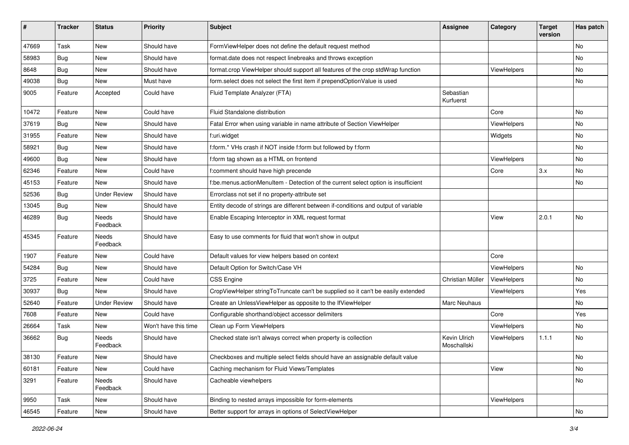| ∦     | <b>Tracker</b> | <b>Status</b>            | <b>Priority</b>      | <b>Subject</b>                                                                      | <b>Assignee</b>             | Category    | <b>Target</b><br>version | Has patch |
|-------|----------------|--------------------------|----------------------|-------------------------------------------------------------------------------------|-----------------------------|-------------|--------------------------|-----------|
| 47669 | Task           | New                      | Should have          | FormViewHelper does not define the default request method                           |                             |             |                          | No        |
| 58983 | Bug            | New                      | Should have          | format.date does not respect linebreaks and throws exception                        |                             |             |                          | No        |
| 8648  | Bug            | New                      | Should have          | format.crop ViewHelper should support all features of the crop stdWrap function     |                             | ViewHelpers |                          | No        |
| 49038 | Bug            | <b>New</b>               | Must have            | form.select does not select the first item if prependOptionValue is used            |                             |             |                          | No        |
| 9005  | Feature        | Accepted                 | Could have           | Fluid Template Analyzer (FTA)                                                       | Sebastian<br>Kurfuerst      |             |                          |           |
| 10472 | Feature        | New                      | Could have           | Fluid Standalone distribution                                                       |                             | Core        |                          | No        |
| 37619 | Bug            | New                      | Should have          | Fatal Error when using variable in name attribute of Section ViewHelper             |                             | ViewHelpers |                          | No        |
| 31955 | Feature        | <b>New</b>               | Should have          | f:uri.widget                                                                        |                             | Widgets     |                          | No        |
| 58921 | <b>Bug</b>     | New                      | Should have          | f:form.* VHs crash if NOT inside f:form but followed by f:form                      |                             |             |                          | No        |
| 49600 | Bug            | New                      | Should have          | f:form tag shown as a HTML on frontend                                              |                             | ViewHelpers |                          | No.       |
| 62346 | Feature        | New                      | Could have           | f:comment should have high precende                                                 |                             | Core        | 3.x                      | No        |
| 45153 | Feature        | New                      | Should have          | f:be.menus.actionMenuItem - Detection of the current select option is insufficient  |                             |             |                          | No        |
| 52536 | Bug            | <b>Under Review</b>      | Should have          | Errorclass not set if no property-attribute set                                     |                             |             |                          |           |
| 13045 | Bug            | New                      | Should have          | Entity decode of strings are different between if-conditions and output of variable |                             |             |                          |           |
| 46289 | Bug            | Needs<br>Feedback        | Should have          | Enable Escaping Interceptor in XML request format                                   |                             | View        | 2.0.1                    | No        |
| 45345 | Feature        | Needs<br>Feedback        | Should have          | Easy to use comments for fluid that won't show in output                            |                             |             |                          |           |
| 1907  | Feature        | New                      | Could have           | Default values for view helpers based on context                                    |                             | Core        |                          |           |
| 54284 | Bug            | New                      | Should have          | Default Option for Switch/Case VH                                                   |                             | ViewHelpers |                          | No        |
| 3725  | Feature        | New                      | Could have           | CSS Engine                                                                          | Christian Müller            | ViewHelpers |                          | No        |
| 30937 | Bug            | <b>New</b>               | Should have          | CropViewHelper stringToTruncate can't be supplied so it can't be easily extended    |                             | ViewHelpers |                          | Yes       |
| 52640 | Feature        | <b>Under Review</b>      | Should have          | Create an UnlessViewHelper as opposite to the IfViewHelper                          | Marc Neuhaus                |             |                          | No        |
| 7608  | Feature        | New                      | Could have           | Configurable shorthand/object accessor delimiters                                   |                             | Core        |                          | Yes       |
| 26664 | Task           | New                      | Won't have this time | Clean up Form ViewHelpers                                                           |                             | ViewHelpers |                          | No        |
| 36662 | Bug            | <b>Needs</b><br>Feedback | Should have          | Checked state isn't always correct when property is collection                      | Kevin Ulrich<br>Moschallski | ViewHelpers | 1.1.1                    | No        |
| 38130 | Feature        | New                      | Should have          | Checkboxes and multiple select fields should have an assignable default value       |                             |             |                          | No        |
| 60181 | Feature        | New                      | Could have           | Caching mechanism for Fluid Views/Templates                                         |                             | View        |                          | No        |
| 3291  | Feature        | Needs<br>Feedback        | Should have          | Cacheable viewhelpers                                                               |                             |             |                          | No        |
| 9950  | Task           | New                      | Should have          | Binding to nested arrays impossible for form-elements                               |                             | ViewHelpers |                          |           |
| 46545 | Feature        | New                      | Should have          | Better support for arrays in options of SelectViewHelper                            |                             |             |                          | No        |